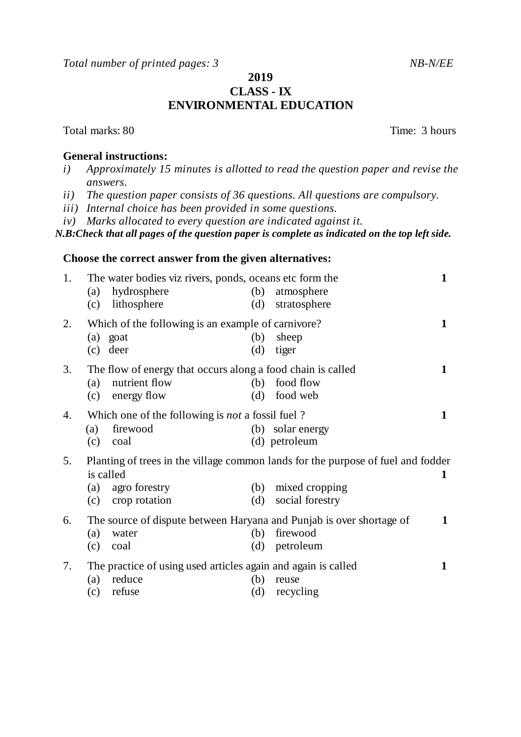*Total number of printed pages: 3 NB-N/EE*

## **2019 CLASS - IX ENVIRONMENTAL EDUCATION**

## **General instructions:**

- *i) Approximately 15 minutes is allotted to read the question paper and revise the answers.*
- *ii) The question paper consists of 36 questions. All questions are compulsory.*
- *iii) Internal choice has been provided in some questions.*
- *iv) Marks allocated to every question are indicated against it.*

*N.B:Check that all pages of the question paper is complete as indicated on the top left side.*

## **Choose the correct answer from the given alternatives:**

| 1.                                                            | The water bodies viz rivers, ponds, oceans etc form the     |                                                               |     |                                                                                  |   |
|---------------------------------------------------------------|-------------------------------------------------------------|---------------------------------------------------------------|-----|----------------------------------------------------------------------------------|---|
|                                                               | (a)                                                         | hydrosphere                                                   | (b) | atmosphere                                                                       |   |
|                                                               |                                                             | (c) lithosphere                                               | (d) | stratosphere                                                                     |   |
| 2.                                                            | Which of the following is an example of carnivore?          |                                                               |     |                                                                                  | 1 |
|                                                               | (a) goat                                                    |                                                               | (b) | sheep                                                                            |   |
|                                                               | $(c)$ deer                                                  |                                                               | (d) | tiger                                                                            |   |
| 3.                                                            | The flow of energy that occurs along a food chain is called |                                                               |     |                                                                                  | 1 |
|                                                               | (a)                                                         | nutrient flow                                                 | (b) | food flow                                                                        |   |
|                                                               |                                                             | (c) energy flow                                               | (d) | food web                                                                         |   |
| Which one of the following is <i>not</i> a fossil fuel?<br>4. |                                                             |                                                               |     | 1                                                                                |   |
|                                                               | (a)                                                         | firewood                                                      |     | (b) solar energy                                                                 |   |
|                                                               | (c)                                                         | coal                                                          |     | (d) petroleum                                                                    |   |
| 5.                                                            |                                                             |                                                               |     | Planting of trees in the village common lands for the purpose of fuel and fodder |   |
|                                                               | is called                                                   |                                                               |     |                                                                                  | 1 |
|                                                               | (a)                                                         | agro forestry                                                 | (b) | mixed cropping                                                                   |   |
|                                                               | (c)                                                         | crop rotation                                                 | (d) | social forestry                                                                  |   |
| 6.                                                            |                                                             |                                                               |     | The source of dispute between Haryana and Punjab is over shortage of             | 1 |
|                                                               | (a)                                                         | water                                                         | (b) | firewood                                                                         |   |
|                                                               | (c)                                                         | coal                                                          | (d) | petroleum                                                                        |   |
| 7.                                                            |                                                             | The practice of using used articles again and again is called |     |                                                                                  | 1 |
|                                                               | (a)                                                         | reduce                                                        | (b) | reuse                                                                            |   |
|                                                               | (c)                                                         | refuse                                                        | (d) | recycling                                                                        |   |
|                                                               |                                                             |                                                               |     |                                                                                  |   |

Total marks: 80 Total marks: 80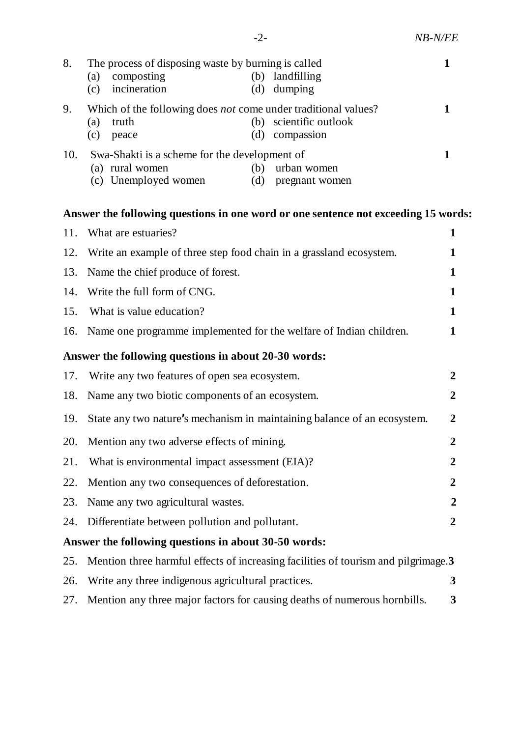| 8.  | The process of disposing waste by burning is called            |                      |     |                    |  |
|-----|----------------------------------------------------------------|----------------------|-----|--------------------|--|
|     | (a)                                                            | composting           | (b) | landfilling        |  |
|     | (c)                                                            | incineration         | (d) | dumping            |  |
| 9.  | Which of the following does not come under traditional values? |                      |     |                    |  |
|     | (a)                                                            | truth                | (b) | scientific outlook |  |
|     | (c)                                                            | peace                | (d) | compassion         |  |
| 10. | Swa-Shakti is a scheme for the development of                  |                      |     |                    |  |
|     |                                                                | (a) rural women      | (b) | urban women        |  |
|     |                                                                | (c) Unemployed women | (d) | pregnant women     |  |
|     |                                                                |                      |     |                    |  |
|     |                                                                |                      |     |                    |  |

## **Answer the following questions in one word or one sentence not exceeding 15 words:**

| 11. | What are estuaries?                                                                | $\mathbf{1}$     |
|-----|------------------------------------------------------------------------------------|------------------|
| 12. | Write an example of three step food chain in a grassland ecosystem.                | 1                |
| 13. | Name the chief produce of forest.                                                  | 1                |
| 14. | Write the full form of CNG.                                                        | 1                |
| 15. | What is value education?                                                           | $\mathbf{1}$     |
| 16. | Name one programme implemented for the welfare of Indian children.                 | 1                |
|     | Answer the following questions in about 20-30 words:                               |                  |
| 17. | Write any two features of open sea ecosystem.                                      | $\overline{2}$   |
| 18. | Name any two biotic components of an ecosystem.                                    | $\mathbf{2}$     |
| 19. | State any two nature's mechanism in maintaining balance of an ecosystem.           | $\boldsymbol{2}$ |
| 20. | Mention any two adverse effects of mining.                                         | $\overline{2}$   |
| 21. | What is environmental impact assessment (EIA)?                                     | $\overline{2}$   |
| 22. | Mention any two consequences of deforestation.                                     | $\overline{2}$   |
| 23. | Name any two agricultural wastes.                                                  | $\overline{2}$   |
| 24. | Differentiate between pollution and pollutant.                                     | $\overline{2}$   |
|     | Answer the following questions in about 30-50 words:                               |                  |
| 25. | Mention three harmful effects of increasing facilities of tourism and pilgrimage.3 |                  |
| 26. | Write any three indigenous agricultural practices.                                 | 3                |
| 27. | Mention any three major factors for causing deaths of numerous hornbills.          | 3                |